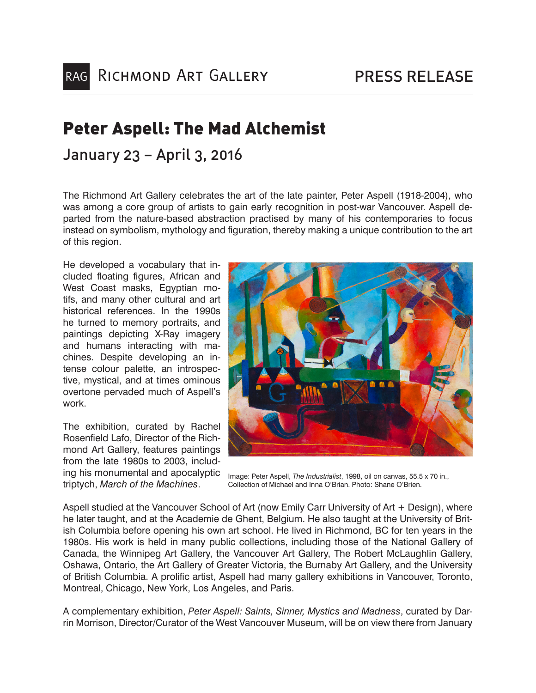# Peter Aspell: The Mad Alchemist

# January 23 – April 3, 2016

The Richmond Art Gallery celebrates the art of the late painter, Peter Aspell (1918-2004), who was among a core group of artists to gain early recognition in post-war Vancouver. Aspell departed from the nature-based abstraction practised by many of his contemporaries to focus instead on symbolism, mythology and figuration, thereby making a unique contribution to the art of this region.

He developed a vocabulary that included floating figures, African and West Coast masks, Egyptian motifs, and many other cultural and art historical references. In the 1990s he turned to memory portraits, and paintings depicting X-Ray imagery and humans interacting with machines. Despite developing an intense colour palette, an introspective, mystical, and at times ominous overtone pervaded much of Aspell's work.

The exhibition, curated by Rachel Rosenfield Lafo, Director of the Richmond Art Gallery, features paintings from the late 1980s to 2003, including his monumental and apocalyptic triptych, *March of the Machines*.



Image: Peter Aspell, *The Industrialist*, 1998, oil on canvas, 55.5 x 70 in., Collection of Michael and Inna O'Brian. Photo: Shane O'Brien.

Aspell studied at the Vancouver School of Art (now Emily Carr University of Art + Design), where he later taught, and at the Academie de Ghent, Belgium. He also taught at the University of British Columbia before opening his own art school. He lived in Richmond, BC for ten years in the 1980s. His work is held in many public collections, including those of the National Gallery of Canada, the Winnipeg Art Gallery, the Vancouver Art Gallery, The Robert McLaughlin Gallery, Oshawa, Ontario, the Art Gallery of Greater Victoria, the Burnaby Art Gallery, and the University of British Columbia. A prolific artist, Aspell had many gallery exhibitions in Vancouver, Toronto, Montreal, Chicago, New York, Los Angeles, and Paris.

A complementary exhibition, *Peter Aspell: Saints, Sinner, Mystics and Madness*, curated by Darrin Morrison, Director/Curator of the West Vancouver Museum, will be on view there from January